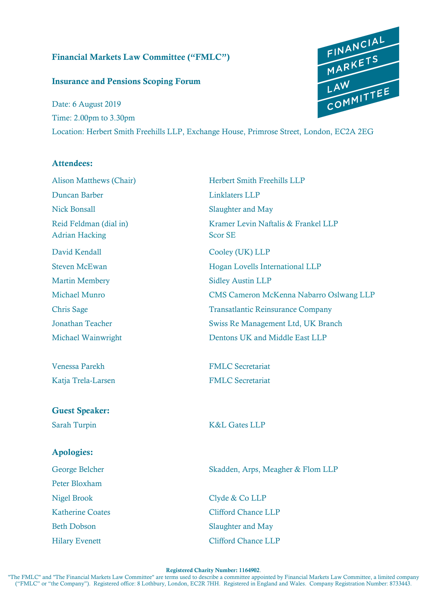## Financial Markets Law Committee ("FMLC")

### Insurance and Pensions Scoping Forum

Date: 6 August 2019 Time: 2.00pm to 3.30pm Location: Herbert Smith Freehills LLP, Exchange House, Primrose Street, London, EC2A 2EG

#### Attendees:

Alison Matthews (Chair) Herbert Smith Freehills LLP Duncan Barber Linklaters LLP Nick Bonsall Slaughter and May Adrian Hacking Scor SE David Kendall Cooley (UK) LLP Martin Membery Sidley Austin LLP

#### Guest Speaker:

#### Apologies:

Peter Bloxham Nigel Brook Clyde & Co LLP

Reid Feldman (dial in) Kramer Levin Naftalis & Frankel LLP Steven McEwan **Hogan Lovells International LLP** Michael Munro CMS Cameron McKenna Nabarro Oslwang LLP Chris Sage Transatlantic Reinsurance Company Jonathan Teacher Swiss Re Management Ltd, UK Branch Michael Wainwright Dentons UK and Middle East LLP

Venessa Parekh FMLC Secretariat Katja Trela-Larsen FMLC Secretariat

Sarah Turpin K&L Gates LLP

George Belcher Skadden, Arps, Meagher & Flom LLP

Katherine Coates Clifford Chance LLP Beth Dobson Slaughter and May Hilary Evenett Clifford Chance LLP

#### Registered Charity Number: 1164902.